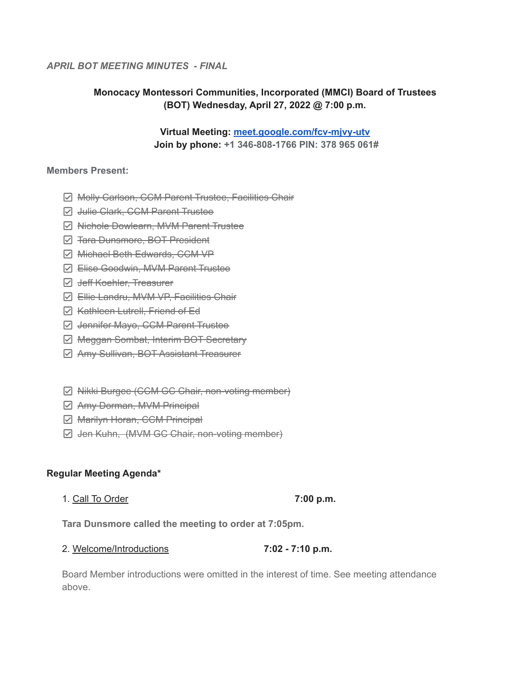### *APRIL BOT MEETING MINUTES - FINAL*

# **Monocacy Montessori Communities, Incorporated (MMCI) Board of Trustees (BOT) Wednesday, April 27, 2022 @ 7:00 p.m.**

**Virtual Meeting: [meet.google.com/fcv-mjvy-utv](http://meet.google.com/fcv-mjvy-utv) Join by phone: +1 346-808-1766 PIN: 378 965 061#**

#### **Members Present:**

- **Ø Molly Carlson, CCM Parent Trustee, Facilities Chair**
- **D** Julie Clark, CCM Parent Trustee
- **Ø Nichole Dowlearn, MVM Parent Trustee**
- $\Box$  <del>Tara Dunsmore, BOT President</del>
- Michael Beth Edwards, CCM VP
- **☑ Elise Goodwin, MVM Parent Trustee**
- **Ø** <del>Jeff Koehler, Treasurer</del>
- $\boxdot$  Ellie Landru, MVM VP, Facilities Chair
- $\boxdot$  Kathleen Lutrell, Friend of Ed
- **Ø Jennifer Mayo, CCM Parent Trustee**
- **Ø Meggan Sombat, Interim BOT Secretary**
- Amy Sullivan, BOT Assistant Treasurer
- **Ø Nikki Burgee (CCM GC Chair, non-voting member)**
- $\boxdot$  **Amy Dorman, MVM Principal**
- **Ø** Marilyn Horan, CCM Principal
- $\Box$  Jen Kuhn, (MVM GC Chair, non-voting member)

### **Regular Meeting Agenda\***

1. Call To Order **7:00 p.m.**

**Tara Dunsmore called the meeting to order at 7:05pm.**

### 2. Welcome/Introductions **7:02 - 7:10 p.m.**

Board Member introductions were omitted in the interest of time. See meeting attendance above.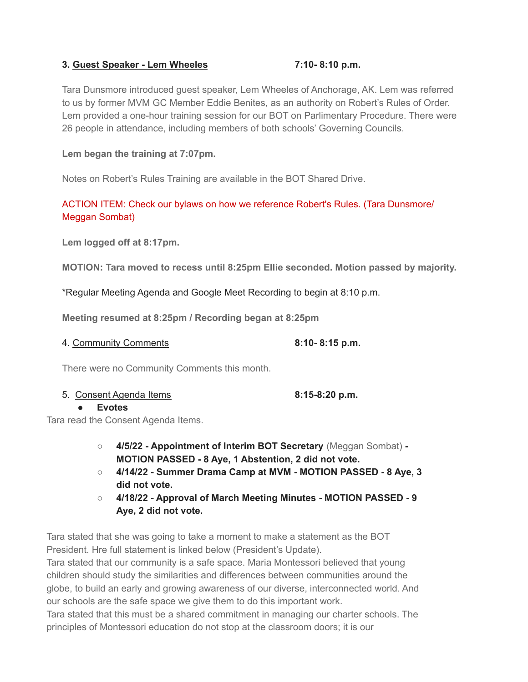### **3. Guest Speaker - Lem Wheeles 7:10- 8:10 p.m.**

Tara Dunsmore introduced guest speaker, Lem Wheeles of Anchorage, AK. Lem was referred to us by former MVM GC Member Eddie Benites, as an authority on Robert's Rules of Order. Lem provided a one-hour training session for our BOT on Parlimentary Procedure. There were 26 people in attendance, including members of both schools' Governing Councils.

## **Lem began the training at 7:07pm.**

Notes on Robert's Rules Training are available in the BOT Shared Drive.

# ACTION ITEM: Check our bylaws on how we reference Robert's Rules. (Tara Dunsmore/ Meggan Sombat)

**Lem logged off at 8:17pm.**

**MOTION: Tara moved to recess until 8:25pm Ellie seconded. Motion passed by majority.**

\*Regular Meeting Agenda and Google Meet Recording to begin at 8:10 p.m.

**Meeting resumed at 8:25pm / Recording began at 8:25pm**

| 8:10-8:15 p.m.<br>4. Community Comments |
|-----------------------------------------|
|-----------------------------------------|

There were no Community Comments this month.

5. Consent Agenda Items **8:15-8:20 p.m.**

## **● Evotes**

Tara read the Consent Agenda Items.

- **○ 4/5/22 - Appointment of Interim BOT Secretary** (Meggan Sombat) **- MOTION PASSED - 8 Aye, 1 Abstention, 2 did not vote.**
- **○ 4/14/22 - Summer Drama Camp at MVM - MOTION PASSED - 8 Aye, 3 did not vote.**
- **○ 4/18/22 - Approval of March Meeting Minutes - MOTION PASSED - 9 Aye, 2 did not vote.**

Tara stated that she was going to take a moment to make a statement as the BOT President. Hre full statement is linked below (President's Update).

Tara stated that our community is a safe space. Maria Montessori believed that young children should study the similarities and differences between communities around the globe, to build an early and growing awareness of our diverse, interconnected world. And our schools are the safe space we give them to do this important work.

Tara stated that this must be a shared commitment in managing our charter schools. The principles of Montessori education do not stop at the classroom doors; it is our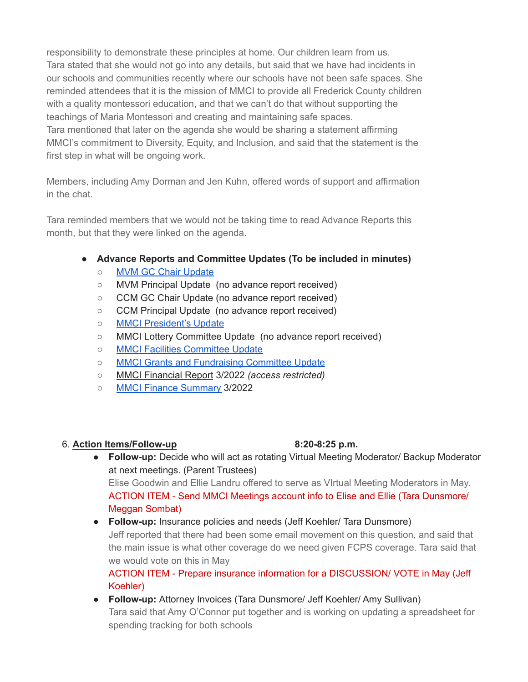responsibility to demonstrate these principles at home. Our children learn from us. Tara stated that she would not go into any details, but said that we have had incidents in our schools and communities recently where our schools have not been safe spaces. She reminded attendees that it is the mission of MMCI to provide all Frederick County children with a quality montessori education, and that we can't do that without supporting the teachings of Maria Montessori and creating and maintaining safe spaces. Tara mentioned that later on the agenda she would be sharing a statement affirming MMCI's commitment to Diversity, Equity, and Inclusion, and said that the statement is the first step in what will be ongoing work.

Members, including Amy Dorman and Jen Kuhn, offered words of support and affirmation in the chat.

Tara reminded members that we would not be taking time to read Advance Reports this month, but that they were linked on the agenda.

- **● Advance Reports and Committee Updates (To be included in minutes)**
	- MVM GC Chair [Update](https://docs.google.com/document/d/1FkjRuG7cqi4RPgyD7JJ_UzEDzqveepjTmFkEibd3wZY/edit?usp=sharing)
	- MVM Principal Update (no advance report received)
	- CCM GC Chair Update (no advance report received)
	- CCM Principal Update (no advance report received)
	- o MMCI [President's](https://docs.google.com/document/d/12-CByT3Xa3WyFDbXEnVbV_DTO9JKO_xAbAn-m9SvawU/edit?usp=sharing) Update
	- MMCI Lottery Committee Update (no advance report received)
	- MMCI Facilities [Committee](https://docs.google.com/document/d/1otC3krHmC9kOUzeMjnDJrWqSGlrSYdRYeEckT1e_0iw/edit?usp=sharing) Update
	- MMCI Grants and [Fundraising](https://docs.google.com/document/d/1W_RNHbLBjJol7zRtacppZTKC9ifCQERIiPnko-IPHks/edit?usp=sharing) Committee Update
	- MMCI Financial Report 3/2022 *(access restricted)*
	- MMCI Finance [Summary](https://docs.google.com/document/d/16_KEzIEThcBohM48PAhaOWBqwsXmxdFp/edit?usp=sharing&ouid=112286663168399488725&rtpof=true&sd=true) 3/2022

### 6. **Action Items/Follow-up 8:20-8:25 p.m.**

**● Follow-up:** Decide who will act as rotating Virtual Meeting Moderator/ Backup Moderator at next meetings. (Parent Trustees)

Elise Goodwin and Ellie Landru offered to serve as VIrtual Meeting Moderators in May. ACTION ITEM - Send MMCI Meetings account info to Elise and Ellie (Tara Dunsmore/ Meggan Sombat)

● **Follow-up:** Insurance policies and needs (Jeff Koehler/ Tara Dunsmore) Jeff reported that there had been some email movement on this question, and said that the main issue is what other coverage do we need given FCPS coverage. Tara said that we would vote on this in May

ACTION ITEM - Prepare insurance information for a DISCUSSION/ VOTE in May (Jeff Koehler)

● **Follow-up:** Attorney Invoices (Tara Dunsmore/ Jeff Koehler/ Amy Sullivan) Tara said that Amy O'Connor put together and is working on updating a spreadsheet for spending tracking for both schools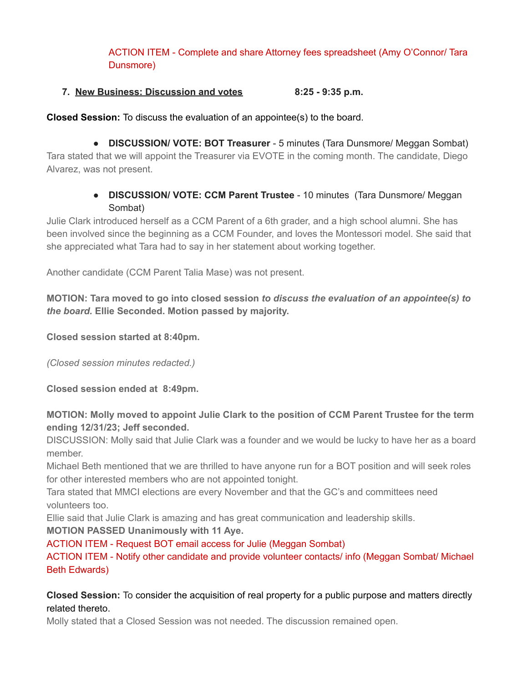ACTION ITEM - Complete and share Attorney fees spreadsheet (Amy O'Connor/ Tara Dunsmore)

## **7. New Business: Discussion and votes 8:25 - 9:35 p.m.**

**Closed Session:** To discuss the evaluation of an appointee(s) to the board.

**● DISCUSSION/ VOTE: BOT Treasurer** - 5 minutes (Tara Dunsmore/ Meggan Sombat) Tara stated that we will appoint the Treasurer via EVOTE in the coming month. The candidate, Diego Alvarez, was not present.

# **● DISCUSSION/ VOTE: CCM Parent Trustee** - 10 minutes (Tara Dunsmore/ Meggan Sombat)

Julie Clark introduced herself as a CCM Parent of a 6th grader, and a high school alumni. She has been involved since the beginning as a CCM Founder, and loves the Montessori model. She said that she appreciated what Tara had to say in her statement about working together.

Another candidate (CCM Parent Talia Mase) was not present.

**MOTION: Tara moved to go into closed session** *to discuss the evaluation of an appointee(s) to the board.* **Ellie Seconded. Motion passed by majority.**

**Closed session started at 8:40pm.**

*(Closed session minutes redacted.)*

**Closed session ended at 8:49pm.**

**MOTION: Molly moved to appoint Julie Clark to the position of CCM Parent Trustee for the term ending 12/31/23; Jeff seconded.**

DISCUSSION: Molly said that Julie Clark was a founder and we would be lucky to have her as a board member.

Michael Beth mentioned that we are thrilled to have anyone run for a BOT position and will seek roles for other interested members who are not appointed tonight.

Tara stated that MMCI elections are every November and that the GC's and committees need volunteers too.

Ellie said that Julie Clark is amazing and has great communication and leadership skills.

**MOTION PASSED Unanimously with 11 Aye.**

ACTION ITEM - Request BOT email access for Julie (Meggan Sombat)

ACTION ITEM - Notify other candidate and provide volunteer contacts/ info (Meggan Sombat/ Michael Beth Edwards)

# **Closed Session:** To consider the acquisition of real property for a public purpose and matters directly related thereto.

Molly stated that a Closed Session was not needed. The discussion remained open.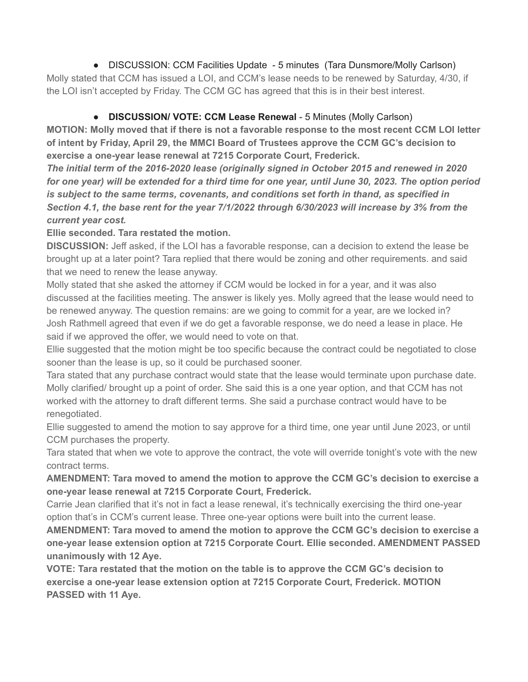• DISCUSSION: CCM Facilities Update - 5 minutes (Tara Dunsmore/Molly Carlson) Molly stated that CCM has issued a LOI, and CCM's lease needs to be renewed by Saturday, 4/30, if the LOI isn't accepted by Friday. The CCM GC has agreed that this is in their best interest.

# ● **DISCUSSION/ VOTE: CCM Lease Renewal** - 5 Minutes (Molly Carlson)

**MOTION: Molly moved that if there is not a favorable response to the most recent CCM LOI letter of intent by Friday, April 29, the MMCI Board of Trustees approve the CCM GC's decision to exercise a one-year lease renewal at 7215 Corporate Court, Frederick.**

*The initial term of the 2016-2020 lease (originally signed in October 2015 and renewed in 2020* for one year) will be extended for a third time for one year, until June 30, 2023. The option period *is subject to the same terms, covenants, and conditions set forth in thand, as specified in Section 4.1, the base rent for the year 7/1/2022 through 6/30/2023 will increase by 3% from the current year cost.*

**Ellie seconded. Tara restated the motion.**

**DISCUSSION:** Jeff asked, if the LOI has a favorable response, can a decision to extend the lease be brought up at a later point? Tara replied that there would be zoning and other requirements. and said that we need to renew the lease anyway.

Molly stated that she asked the attorney if CCM would be locked in for a year, and it was also discussed at the facilities meeting. The answer is likely yes. Molly agreed that the lease would need to be renewed anyway. The question remains: are we going to commit for a year, are we locked in? Josh Rathmell agreed that even if we do get a favorable response, we do need a lease in place. He said if we approved the offer, we would need to vote on that.

Ellie suggested that the motion might be too specific because the contract could be negotiated to close sooner than the lease is up, so it could be purchased sooner.

Tara stated that any purchase contract would state that the lease would terminate upon purchase date. Molly clarified/ brought up a point of order. She said this is a one year option, and that CCM has not worked with the attorney to draft different terms. She said a purchase contract would have to be renegotiated.

Ellie suggested to amend the motion to say approve for a third time, one year until June 2023, or until CCM purchases the property.

Tara stated that when we vote to approve the contract, the vote will override tonight's vote with the new contract terms.

**AMENDMENT: Tara moved to amend the motion to approve the CCM GC's decision to exercise a one-year lease renewal at 7215 Corporate Court, Frederick.**

Carrie Jean clarified that it's not in fact a lease renewal, it's technically exercising the third one-year option that's in CCM's current lease. Three one-year options were built into the current lease.

**AMENDMENT: Tara moved to amend the motion to approve the CCM GC's decision to exercise a one-year lease extension option at 7215 Corporate Court. Ellie seconded. AMENDMENT PASSED unanimously with 12 Aye.**

**VOTE: Tara restated that the motion on the table is to approve the CCM GC's decision to exercise a one-year lease extension option at 7215 Corporate Court, Frederick. MOTION PASSED with 11 Aye.**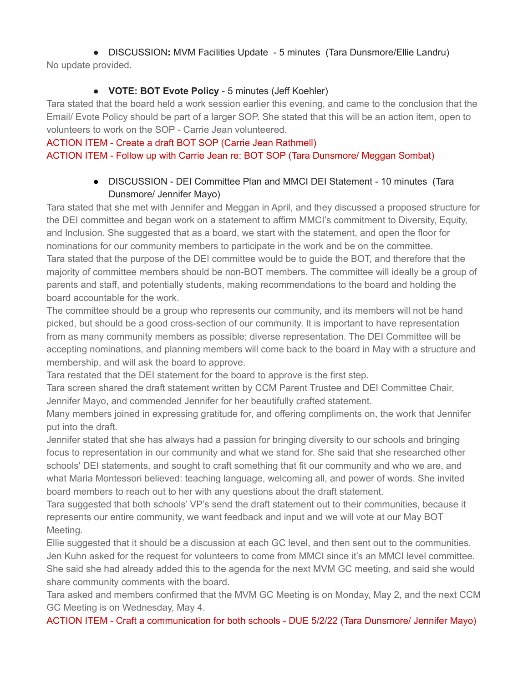**●** DISCUSSION**:** MVM Facilities Update - 5 minutes (Tara Dunsmore/Ellie Landru) No update provided.

# **● VOTE: BOT Evote Policy** - 5 minutes (Jeff Koehler)

Tara stated that the board held a work session earlier this evening, and came to the conclusion that the Email/ Evote Policy should be part of a larger SOP. She stated that this will be an action item, open to volunteers to work on the SOP - Carrie Jean volunteered.

## ACTION ITEM - Create a draft BOT SOP (Carrie Jean Rathmell) ACTION ITEM - Follow up with Carrie Jean re: BOT SOP (Tara Dunsmore/ Meggan Sombat)

● DISCUSSION - DEI Committee Plan and MMCI DEI Statement - 10 minutes (Tara Dunsmore/ Jennifer Mayo)

Tara stated that she met with Jennifer and Meggan in April, and they discussed a proposed structure for the DEI committee and began work on a statement to affirm MMCI's commitment to Diversity, Equity, and Inclusion. She suggested that as a board, we start with the statement, and open the floor for nominations for our community members to participate in the work and be on the committee. Tara stated that the purpose of the DEI committee would be to guide the BOT, and therefore that the majority of committee members should be non-BOT members. The committee will ideally be a group of parents and staff, and potentially students, making recommendations to the board and holding the board accountable for the work.

The committee should be a group who represents our community, and its members will not be hand picked, but should be a good cross-section of our community. It is important to have representation from as many community members as possible; diverse representation. The DEI Committee will be accepting nominations, and planning members will come back to the board in May with a structure and membership, and will ask the board to approve.

Tara restated that the DEI statement for the board to approve is the first step.

Tara screen shared the draft statement written by CCM Parent Trustee and DEI Committee Chair, Jennifer Mayo, and commended Jennifer for her beautifully crafted statement.

Many members joined in expressing gratitude for, and offering compliments on, the work that Jennifer put into the draft.

Jennifer stated that she has always had a passion for bringing diversity to our schools and bringing focus to representation in our community and what we stand for. She said that she researched other schools' DEI statements, and sought to craft something that fit our community and who we are, and what Maria Montessori believed: teaching language, welcoming all, and power of words. She invited board members to reach out to her with any questions about the draft statement.

Tara suggested that both schools' VP's send the draft statement out to their communities, because it represents our entire community, we want feedback and input and we will vote at our May BOT Meeting.

Ellie suggested that it should be a discussion at each GC level, and then sent out to the communities. Jen Kuhn asked for the request for volunteers to come from MMCI since it's an MMCI level committee. She said she had already added this to the agenda for the next MVM GC meeting, and said she would share community comments with the board.

Tara asked and members confirmed that the MVM GC Meeting is on Monday, May 2, and the next CCM GC Meeting is on Wednesday, May 4.

ACTION ITEM - Craft a communication for both schools - DUE 5/2/22 (Tara Dunsmore/ Jennifer Mayo)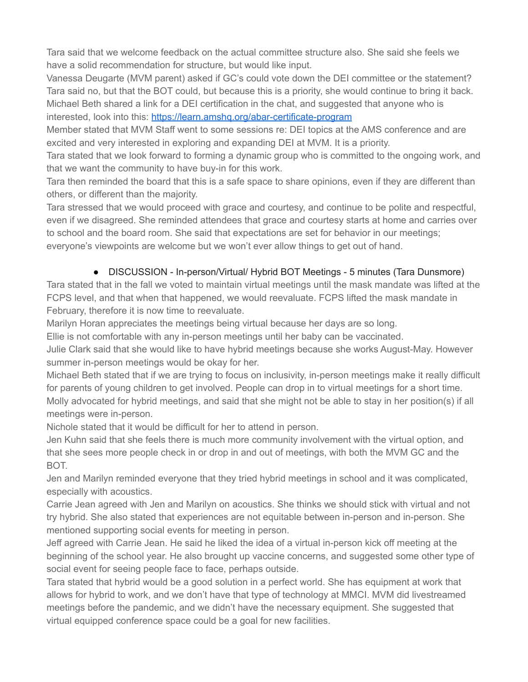Tara said that we welcome feedback on the actual committee structure also. She said she feels we have a solid recommendation for structure, but would like input.

Vanessa Deugarte (MVM parent) asked if GC's could vote down the DEI committee or the statement? Tara said no, but that the BOT could, but because this is a priority, she would continue to bring it back. Michael Beth shared a link for a DEI certification in the chat, and suggested that anyone who is interested, look into this: <https://learn.amshq.org/abar-certificate-program>

Member stated that MVM Staff went to some sessions re: DEI topics at the AMS conference and are excited and very interested in exploring and expanding DEI at MVM. It is a priority.

Tara stated that we look forward to forming a dynamic group who is committed to the ongoing work, and that we want the community to have buy-in for this work.

Tara then reminded the board that this is a safe space to share opinions, even if they are different than others, or different than the majority.

Tara stressed that we would proceed with grace and courtesy, and continue to be polite and respectful, even if we disagreed. She reminded attendees that grace and courtesy starts at home and carries over to school and the board room. She said that expectations are set for behavior in our meetings; everyone's viewpoints are welcome but we won't ever allow things to get out of hand.

# ● DISCUSSION - In-person/Virtual/ Hybrid BOT Meetings - 5 minutes (Tara Dunsmore)

Tara stated that in the fall we voted to maintain virtual meetings until the mask mandate was lifted at the FCPS level, and that when that happened, we would reevaluate. FCPS lifted the mask mandate in February, therefore it is now time to reevaluate.

Marilyn Horan appreciates the meetings being virtual because her days are so long.

Ellie is not comfortable with any in-person meetings until her baby can be vaccinated.

Julie Clark said that she would like to have hybrid meetings because she works August-May. However summer in-person meetings would be okay for her.

Michael Beth stated that if we are trying to focus on inclusivity, in-person meetings make it really difficult for parents of young children to get involved. People can drop in to virtual meetings for a short time. Molly advocated for hybrid meetings, and said that she might not be able to stay in her position(s) if all meetings were in-person.

Nichole stated that it would be difficult for her to attend in person.

Jen Kuhn said that she feels there is much more community involvement with the virtual option, and that she sees more people check in or drop in and out of meetings, with both the MVM GC and the BOT.

Jen and Marilyn reminded everyone that they tried hybrid meetings in school and it was complicated, especially with acoustics.

Carrie Jean agreed with Jen and Marilyn on acoustics. She thinks we should stick with virtual and not try hybrid. She also stated that experiences are not equitable between in-person and in-person. She mentioned supporting social events for meeting in person.

Jeff agreed with Carrie Jean. He said he liked the idea of a virtual in-person kick off meeting at the beginning of the school year. He also brought up vaccine concerns, and suggested some other type of social event for seeing people face to face, perhaps outside.

Tara stated that hybrid would be a good solution in a perfect world. She has equipment at work that allows for hybrid to work, and we don't have that type of technology at MMCI. MVM did livestreamed meetings before the pandemic, and we didn't have the necessary equipment. She suggested that virtual equipped conference space could be a goal for new facilities.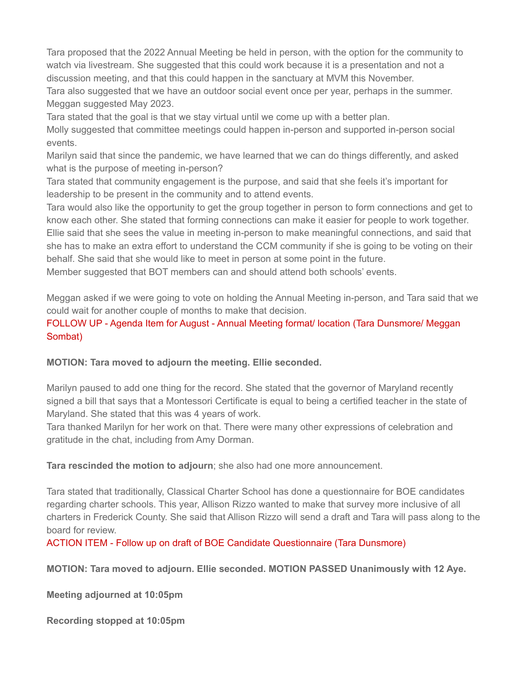Tara proposed that the 2022 Annual Meeting be held in person, with the option for the community to watch via livestream. She suggested that this could work because it is a presentation and not a discussion meeting, and that this could happen in the sanctuary at MVM this November.

Tara also suggested that we have an outdoor social event once per year, perhaps in the summer. Meggan suggested May 2023.

Tara stated that the goal is that we stay virtual until we come up with a better plan.

Molly suggested that committee meetings could happen in-person and supported in-person social events.

Marilyn said that since the pandemic, we have learned that we can do things differently, and asked what is the purpose of meeting in-person?

Tara stated that community engagement is the purpose, and said that she feels it's important for leadership to be present in the community and to attend events.

Tara would also like the opportunity to get the group together in person to form connections and get to know each other. She stated that forming connections can make it easier for people to work together. Ellie said that she sees the value in meeting in-person to make meaningful connections, and said that she has to make an extra effort to understand the CCM community if she is going to be voting on their behalf. She said that she would like to meet in person at some point in the future.

Member suggested that BOT members can and should attend both schools' events.

Meggan asked if we were going to vote on holding the Annual Meeting in-person, and Tara said that we could wait for another couple of months to make that decision.

# FOLLOW UP - Agenda Item for August - Annual Meeting format/ location (Tara Dunsmore/ Meggan Sombat)

**MOTION: Tara moved to adjourn the meeting. Ellie seconded.**

Marilyn paused to add one thing for the record. She stated that the governor of Maryland recently signed a bill that says that a Montessori Certificate is equal to being a certified teacher in the state of Maryland. She stated that this was 4 years of work.

Tara thanked Marilyn for her work on that. There were many other expressions of celebration and gratitude in the chat, including from Amy Dorman.

**Tara rescinded the motion to adjourn**; she also had one more announcement.

Tara stated that traditionally, Classical Charter School has done a questionnaire for BOE candidates regarding charter schools. This year, Allison Rizzo wanted to make that survey more inclusive of all charters in Frederick County. She said that Allison Rizzo will send a draft and Tara will pass along to the board for review.

ACTION ITEM - Follow up on draft of BOE Candidate Questionnaire (Tara Dunsmore)

**MOTION: Tara moved to adjourn. Ellie seconded. MOTION PASSED Unanimously with 12 Aye.**

**Meeting adjourned at 10:05pm**

**Recording stopped at 10:05pm**